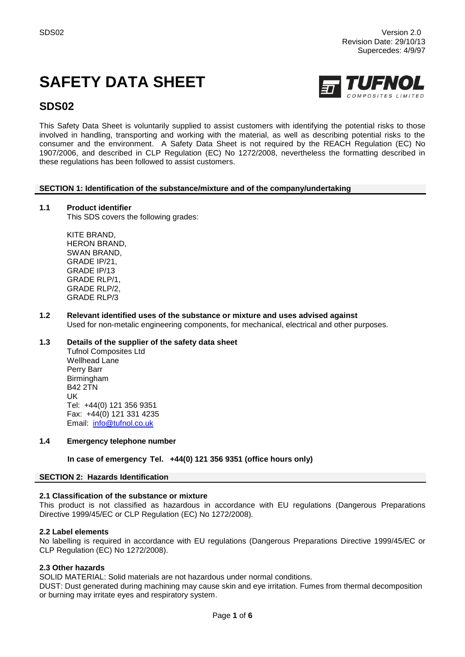# **SAFETY DATA SHEET**



# **SDS02**

This Safety Data Sheet is voluntarily supplied to assist customers with identifying the potential risks to those involved in handling, transporting and working with the material, as well as describing potential risks to the consumer and the environment. A Safety Data Sheet is not required by the REACH Regulation (EC) No 1907/2006, and described in CLP Regulation (EC) No 1272/2008, nevertheless the formatting described in these regulations has been followed to assist customers.

# **SECTION 1: Identification of the substance/mixture and of the company/undertaking**

# **1.1 Product identifier**

This SDS covers the following grades:

KITE BRAND, HERON BRAND, SWAN BRAND, GRADE IP/21, GRADE IP/13 GRADE RLP/1, GRADE RLP/2, GRADE RLP/3

**1.2 Relevant identified uses of the substance or mixture and uses advised against** Used for non-metalic engineering components, for mechanical, electrical and other purposes.

# **1.3 Details of the supplier of the safety data sheet**

Tufnol Composites Ltd Wellhead Lane Perry Barr Birmingham B42 2TN UK Tel: +44(0) 121 356 9351 Fax: +44(0) 121 331 4235 Email: [info@tufnol.co.uk](mailto:info@tufnol.co.uk)

#### **1.4 Emergency telephone number**

**In case of emergency Tel. +44(0) 121 356 9351 (office hours only)**

#### **SECTION 2: Hazards Identification**

#### **2.1 Classification of the substance or mixture**

This product is not classified as hazardous in accordance with EU regulations (Dangerous Preparations Directive 1999/45/EC or CLP Regulation (EC) No 1272/2008).

#### **2.2 Label elements**

No labelling is required in accordance with EU regulations (Dangerous Preparations Directive 1999/45/EC or CLP Regulation (EC) No 1272/2008).

#### **2.3 Other hazards**

SOLID MATERIAL: Solid materials are not hazardous under normal conditions.

DUST: Dust generated during machining may cause skin and eye irritation. Fumes from thermal decomposition or burning may irritate eyes and respiratory system.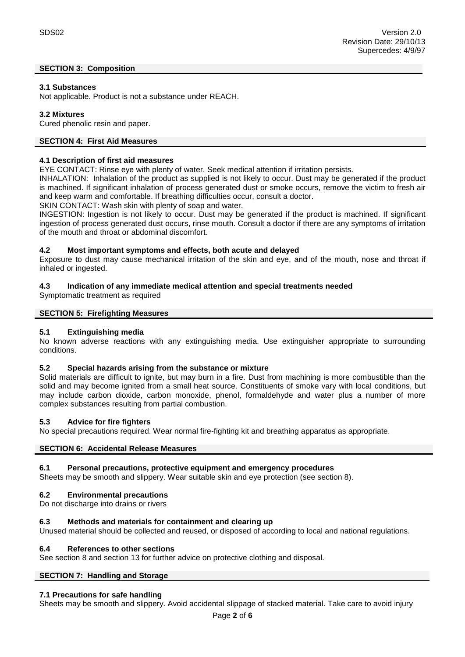# **SECTION 3: Composition**

# **3.1 Substances**

Not applicable. Product is not a substance under REACH.

# **3.2 Mixtures**

Cured phenolic resin and paper.

# **SECTION 4: First Aid Measures**

#### **4.1 Description of first aid measures**

EYE CONTACT: Rinse eye with plenty of water. Seek medical attention if irritation persists.

INHALATION: Inhalation of the product as supplied is not likely to occur. Dust may be generated if the product is machined. If significant inhalation of process generated dust or smoke occurs, remove the victim to fresh air and keep warm and comfortable. If breathing difficulties occur, consult a doctor.

SKIN CONTACT: Wash skin with plenty of soap and water.

INGESTION: Ingestion is not likely to occur. Dust may be generated if the product is machined. If significant ingestion of process generated dust occurs, rinse mouth. Consult a doctor if there are any symptoms of irritation of the mouth and throat or abdominal discomfort.

#### **4.2 Most important symptoms and effects, both acute and delayed**

Exposure to dust may cause mechanical irritation of the skin and eye, and of the mouth, nose and throat if inhaled or ingested.

# **4.3 Indication of any immediate medical attention and special treatments needed**

Symptomatic treatment as required

#### **SECTION 5: Firefighting Measures**

#### **5.1 Extinguishing media**

No known adverse reactions with any extinguishing media. Use extinguisher appropriate to surrounding conditions.

#### **5.2 Special hazards arising from the substance or mixture**

Solid materials are difficult to ignite, but may burn in a fire. Dust from machining is more combustible than the solid and may become ignited from a small heat source. Constituents of smoke vary with local conditions, but may include carbon dioxide, carbon monoxide, phenol, formaldehyde and water plus a number of more complex substances resulting from partial combustion.

#### **5.3 Advice for fire fighters**

No special precautions required. Wear normal fire-fighting kit and breathing apparatus as appropriate.

#### **SECTION 6: Accidental Release Measures**

#### **6.1 Personal precautions, protective equipment and emergency procedures**

Sheets may be smooth and slippery. Wear suitable skin and eye protection (see section 8).

#### **6.2 Environmental precautions**

Do not discharge into drains or rivers

#### **6.3 Methods and materials for containment and clearing up**

Unused material should be collected and reused, or disposed of according to local and national regulations.

#### **6.4 References to other sections**

See section 8 and section 13 for further advice on protective clothing and disposal.

# **SECTION 7: Handling and Storage**

#### **7.1 Precautions for safe handling**

Sheets may be smooth and slippery. Avoid accidental slippage of stacked material. Take care to avoid injury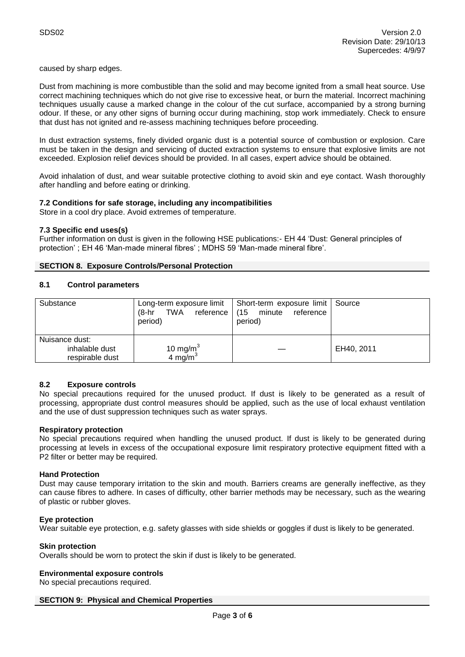caused by sharp edges.

Dust from machining is more combustible than the solid and may become ignited from a small heat source. Use correct machining techniques which do not give rise to excessive heat, or burn the material. Incorrect machining techniques usually cause a marked change in the colour of the cut surface, accompanied by a strong burning odour. If these, or any other signs of burning occur during machining, stop work immediately. Check to ensure that dust has not ignited and re-assess machining techniques before proceeding.

In dust extraction systems, finely divided organic dust is a potential source of combustion or explosion. Care must be taken in the design and servicing of ducted extraction systems to ensure that explosive limits are not exceeded. Explosion relief devices should be provided. In all cases, expert advice should be obtained.

Avoid inhalation of dust, and wear suitable protective clothing to avoid skin and eye contact. Wash thoroughly after handling and before eating or drinking.

# **7.2 Conditions for safe storage, including any incompatibilities**

Store in a cool dry place. Avoid extremes of temperature.

#### **7.3 Specific end uses(s)**

Further information on dust is given in the following HSE publications:- EH 44 'Dust: General principles of protection' ; EH 46 'Man-made mineral fibres' ; MDHS 59 'Man-made mineral fibre'.

#### **SECTION 8. Exposure Controls/Personal Protection**

# **8.1 Control parameters**

| Substance                                           | $(8-hr)$<br>TWA<br>period)                  | Long-term exposure limit   Short-term exposure limit   Source<br>reference   (15 minute<br>reference<br>period) |            |
|-----------------------------------------------------|---------------------------------------------|-----------------------------------------------------------------------------------------------------------------|------------|
| Nuisance dust:<br>inhalable dust<br>respirable dust | 10 mg/m <sup>3</sup><br>4 mg/m <sup>3</sup> |                                                                                                                 | EH40, 2011 |

# **8.2 Exposure controls**

No special precautions required for the unused product. If dust is likely to be generated as a result of processing, appropriate dust control measures should be applied, such as the use of local exhaust ventilation and the use of dust suppression techniques such as water sprays.

#### **Respiratory protection**

No special precautions required when handling the unused product. If dust is likely to be generated during processing at levels in excess of the occupational exposure limit respiratory protective equipment fitted with a P2 filter or better may be required.

#### **Hand Protection**

Dust may cause temporary irritation to the skin and mouth. Barriers creams are generally ineffective, as they can cause fibres to adhere. In cases of difficulty, other barrier methods may be necessary, such as the wearing of plastic or rubber gloves.

#### **Eye protection**

Wear suitable eye protection, e.g. safety glasses with side shields or goggles if dust is likely to be generated.

# **Skin protection**

Overalls should be worn to protect the skin if dust is likely to be generated.

#### **Environmental exposure controls**

No special precautions required.

#### **SECTION 9: Physical and Chemical Properties**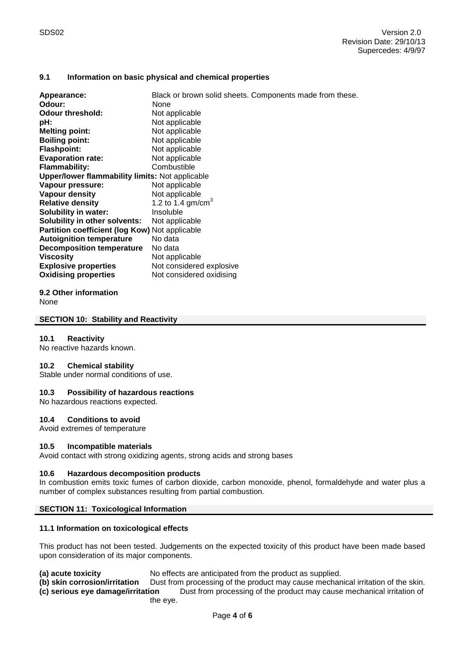# **9.1 Information on basic physical and chemical properties**

| Appearance:<br>Odour:                                  | Black or brown solid sheets. Components made from these.<br>None |  |  |  |
|--------------------------------------------------------|------------------------------------------------------------------|--|--|--|
| <b>Odour threshold:</b>                                | Not applicable                                                   |  |  |  |
| pH:                                                    | Not applicable                                                   |  |  |  |
| <b>Melting point:</b>                                  | Not applicable                                                   |  |  |  |
| <b>Boiling point:</b>                                  | Not applicable                                                   |  |  |  |
| <b>Flashpoint:</b>                                     | Not applicable                                                   |  |  |  |
| <b>Evaporation rate:</b>                               | Not applicable                                                   |  |  |  |
| <b>Flammability:</b>                                   | Combustible                                                      |  |  |  |
| <b>Upper/lower flammability limits: Not applicable</b> |                                                                  |  |  |  |
| Vapour pressure:                                       | Not applicable                                                   |  |  |  |
| <b>Vapour density</b>                                  | Not applicable                                                   |  |  |  |
| <b>Relative density</b>                                | 1.2 to 1.4 gm/cm <sup>3</sup>                                    |  |  |  |
| Solubility in water:                                   | Insoluble                                                        |  |  |  |
| Solubility in other solvents:                          | Not applicable                                                   |  |  |  |
| Partition coefficient (log Kow) Not applicable         |                                                                  |  |  |  |
| <b>Autoignition temperature</b>                        | No data                                                          |  |  |  |
| Decomposition temperature                              | No data                                                          |  |  |  |
| <b>Viscosity</b>                                       | Not applicable                                                   |  |  |  |
| <b>Explosive properties</b>                            | Not considered explosive                                         |  |  |  |
| <b>Oxidising properties</b>                            | Not considered oxidising                                         |  |  |  |

**9.2 Other information**

None

#### **SECTION 10: Stability and Reactivity**

#### **10.1 Reactivity**

No reactive hazards known.

#### **10.2 Chemical stability**

Stable under normal conditions of use.

#### **10.3 Possibility of hazardous reactions**

No hazardous reactions expected.

#### **10.4 Conditions to avoid**

Avoid extremes of temperature

#### **10.5 Incompatible materials**

Avoid contact with strong oxidizing agents, strong acids and strong bases

#### **10.6 Hazardous decomposition products**

In combustion emits toxic fumes of carbon dioxide, carbon monoxide, phenol, formaldehyde and water plus a number of complex substances resulting from partial combustion.

#### **SECTION 11: Toxicological Information**

#### **11.1 Information on toxicological effects**

This product has not been tested. Judgements on the expected toxicity of this product have been made based upon consideration of its major components.

**(a) acute toxicity** No effects are anticipated from the product as supplied.

**(b) skin corrosion/irritation** Dust from processing of the product may cause mechanical irritation of the skin.

**(c) serious eye damage/irritation** Dust from processing of the product may cause mechanical irritation of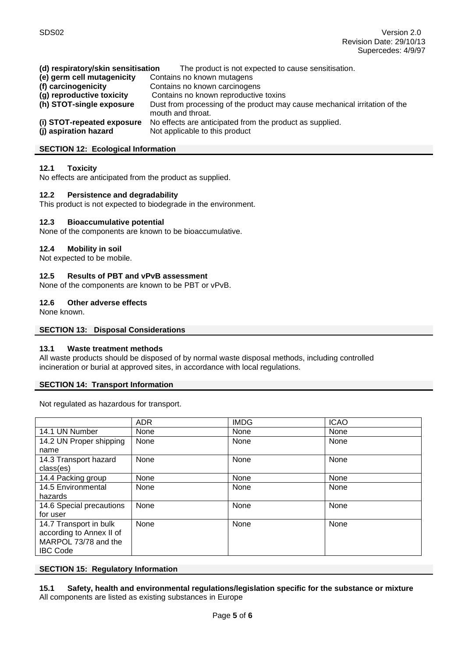| (d) respiratory/skin sensitisation | The product is not expected to cause sensitisation.                                             |  |  |
|------------------------------------|-------------------------------------------------------------------------------------------------|--|--|
| (e) germ cell mutagenicity         | Contains no known mutagens                                                                      |  |  |
| (f) carcinogenicity                | Contains no known carcinogens                                                                   |  |  |
| (g) reproductive toxicity          | Contains no known reproductive toxins                                                           |  |  |
| (h) STOT-single exposure           | Dust from processing of the product may cause mechanical irritation of the<br>mouth and throat. |  |  |
| (i) STOT-repeated exposure         | No effects are anticipated from the product as supplied.                                        |  |  |
| (j) aspiration hazard              | Not applicable to this product                                                                  |  |  |

#### **SECTION 12: Ecological Information**

#### **12.1 Toxicity**

No effects are anticipated from the product as supplied.

#### **12.2 Persistence and degradability**

This product is not expected to biodegrade in the environment.

#### **12.3 Bioaccumulative potential**

None of the components are known to be bioaccumulative.

#### **12.4 Mobility in soil**

Not expected to be mobile.

#### **12.5 Results of PBT and vPvB assessment**

None of the components are known to be PBT or vPvB.

#### **12.6 Other adverse effects**

None known.

#### **SECTION 13: Disposal Considerations**

# **13.1 Waste treatment methods**

All waste products should be disposed of by normal waste disposal methods, including controlled incineration or burial at approved sites, in accordance with local regulations.

#### **SECTION 14: Transport Information**

Not regulated as hazardous for transport.

|                          | <b>ADR</b> | <b>IMDG</b> | <b>ICAO</b> |
|--------------------------|------------|-------------|-------------|
| 14.1 UN Number           | None       | None        | None        |
| 14.2 UN Proper shipping  | None       | None        | None        |
| name                     |            |             |             |
| 14.3 Transport hazard    | None       | None        | None        |
| class(es)                |            |             |             |
| 14.4 Packing group       | None       | None        | None        |
| 14.5 Environmental       | None       | None        | None        |
| hazards                  |            |             |             |
| 14.6 Special precautions | None       | None        | None        |
| for user                 |            |             |             |
| 14.7 Transport in bulk   | None       | None        | None        |
| according to Annex II of |            |             |             |
| MARPOL 73/78 and the     |            |             |             |
| <b>IBC Code</b>          |            |             |             |

#### **SECTION 15: Regulatory Information**

**15.1 Safety, health and environmental regulations/legislation specific for the substance or mixture** All components are listed as existing substances in Europe